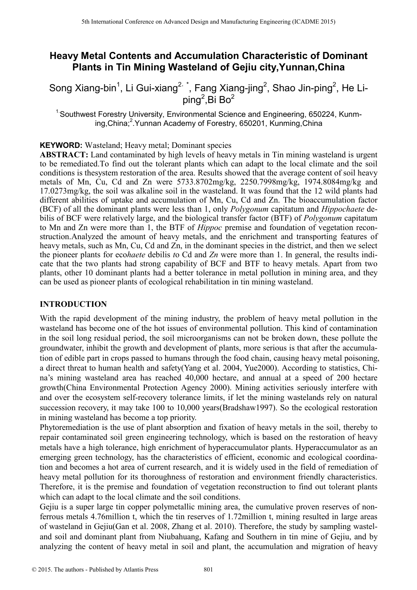# **Heavy Metal Contents and Accumulation Characteristic of Dominant Plants in Tin Mining Wasteland of Gejiu city,Yunnan,China**

Song Xiang-bin<sup>1</sup>, Li Gui-xiang<sup>2, \*</sup>, Fang Xiang-jing<sup>2</sup>, Shao Jin-ping<sup>2</sup>, He Liping<sup>2</sup>, Bi Bo<sup>2</sup>

<sup>1</sup> Southwest Forestry University, Environmental Science and Engineering, 650224, Kunming, China;<sup>2</sup>. Yunnan Academy of Forestry, 650201, Kunming, China

**KEYWORD:** Wasteland; Heavy metal; Dominant species

**ABSTRACT:** Land contaminated by high levels of heavy metals in Tin mining wasteland is urgent to be remediated.To find out the tolerant plants which can adapt to the local climate and the soil conditions is thesystem restoration of the area. Results showed that the average content of soil heavy metals of Mn, Cu, Cd and Zn were 5733.8702mg/kg, 2250.7998mg/kg, 1974.8084mg/kg and 17.0273mg/kg, the soil was alkaline soil in the wasteland. It was found that the 12 wild plants had different abilities of uptake and accumulation of Mn, Cu, Cd and Zn. The bioaccumulation factor (BCF) of all the dominant plants were less than 1, only *Polygonum* capitatum and *Hippochaete* debilis of BCF were relatively large, and the biological transfer factor (BTF) of *Polygonum* capitatum to Mn and Zn were more than 1, the BTF of *Hippoc* premise and foundation of vegetation reconstruction.Analyzed the amount of heavy metals, and the enrichment and transporting features of heavy metals, such as Mn, Cu, Cd and Zn, in the dominant species in the district, and then we select the pioneer plants for eco*haete* debilis *t*o Cd and *Zn* were more than 1. In general, the results indicate that the two plants had strong capability of BCF and BTF to heavy metals. Apart from two plants, other 10 dominant plants had a better tolerance in metal pollution in mining area, and they can be used as pioneer plants of ecological rehabilitation in tin mining wasteland. <sup>516</sup> Learning Conference on Advanced Design and Manufacturing Engine Conference of **Data International Conference of Galiu City Yunnan, Chir<br>
Song Xiang-bin<sup>1</sup>, Li Gui-xiang<sup>2</sup> i, Fang Xiang-jing<sup>2</sup>, Shao Jin-ping<sup>2</sup><br>
So** 

### **INTRODUCTION**

With the rapid development of the mining industry, the problem of heavy metal pollution in the wasteland has become one of the hot issues of environmental pollution. This kind of contamination in the soil long residual period, the soil microorganisms can not be broken down, these pollute the groundwater, inhibit the growth and development of plants, more serious is that after the accumulation of edible part in crops passed to humans through the food chain, causing heavy metal poisoning, a direct threat to human health and safety(Yang et al. 2004, Yue2000). According to statistics, China's mining wasteland area has reached 40,000 hectare, and annual at a speed of 200 hectare growth(China Environmental Protection Agency 2000). Mining activities seriously interfere with and over the ecosystem self-recovery tolerance limits, if let the mining wastelands rely on natural succession recovery, it may take 100 to 10,000 years(Bradshaw1997). So the ecological restoration in mining wasteland has become a top priority.

Phytoremediation is the use of plant absorption and fixation of heavy metals in the soil, thereby to repair contaminated soil green engineering technology, which is based on the restoration of heavy metals have a high tolerance, high enrichment of hyperaccumulator plants. Hyperaccumulator as an emerging green technology, has the characteristics of efficient, economic and ecological coordination and becomes a hot area of current research, and it is widely used in the field of remediation of heavy metal pollution for its thoroughness of restoration and environment friendly characteristics. Therefore, it is the premise and foundation of vegetation reconstruction to find out tolerant plants which can adapt to the local climate and the soil conditions.

Gejiu is a super large tin copper polymetallic mining area, the cumulative proven reserves of nonferrous metals 4.76million t, which the tin reserves of 1.72million t, mining resulted in large areas of wasteland in Gejiu(Gan et al. 2008, Zhang et al. 2010). Therefore, the study by sampling wasteland soil and dominant plant from Niubahuang, Kafang and Southern in tin mine of Gejiu, and by analyzing the content of heavy metal in soil and plant, the accumulation and migration of heavy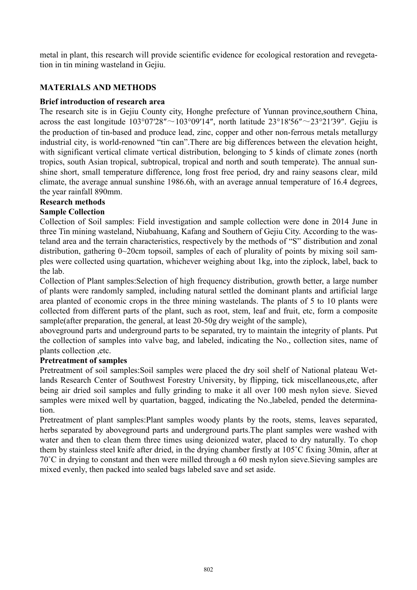metal in plant, this research will provide scientific evidence for ecological restoration and revegetation in tin mining wasteland in Gejiu.

# **MATERIALS AND METHODS**

# **Brief introduction of research area**

The research site is in Gejiu County city, Honghe prefecture of Yunnan province,southern China, across the east longitude  $103^{\circ}07'28'' \sim 103^{\circ}09'14''$ , north latitude  $23^{\circ}18'56'' \sim 23^{\circ}21'39''$ . Gejiu is the production of tin-based and produce lead, zinc, copper and other non-ferrous metals metallurgy industrial city, is world-renowned "tin can".There are big differences between the elevation height, with significant vertical climate vertical distribution, belonging to 5 kinds of climate zones (north tropics, south Asian tropical, subtropical, tropical and north and south temperate). The annual sunshine short, small temperature difference, long frost free period, dry and rainy seasons clear, mild climate, the average annual sunshine 1986.6h, with an average annual temperature of 16.4 degrees, the year rainfall 890mm.

# **Research methods**

# **Sample Collection**

Collection of Soil samples: Field investigation and sample collection were done in 2014 June in three Tin mining wasteland, Niubahuang, Kafang and Southern of Gejiu City. According to the wasteland area and the terrain characteristics, respectively by the methods of "S" distribution and zonal distribution, gathering 0~20cm topsoil, samples of each of plurality of points by mixing soil samples were collected using quartation, whichever weighing about 1kg, into the ziplock, label, back to the lab.

Collection of Plant samples:Selection of high frequency distribution, growth better, a large number of plants were randomly sampled, including natural settled the dominant plants and artificial large area planted of economic crops in the three mining wastelands. The plants of 5 to 10 plants were collected from different parts of the plant, such as root, stem, leaf and fruit, etc, form a composite sample(after preparation, the general, at least 20-50g dry weight of the sample),

aboveground parts and underground parts to be separated, try to maintain the integrity of plants. Put the collection of samples into valve bag, and labeled, indicating the No., collection sites, name of plants collection ,etc.

### **Pretreatment of samples**

Pretreatment of soil samples:Soil samples were placed the dry soil shelf of National plateau Wetlands Research Center of Southwest Forestry University, by flipping, tick miscellaneous,etc, after being air dried soil samples and fully grinding to make it all over 100 mesh nylon sieve. Sieved samples were mixed well by quartation, bagged, indicating the No.,labeled, pended the determination.

Pretreatment of plant samples:Plant samples woody plants by the roots, stems, leaves separated, herbs separated by aboveground parts and underground parts.The plant samples were washed with water and then to clean them three times using deionized water, placed to dry naturally. To chop them by stainless steel knife after dried, in the drying chamber firstly at 105˚C fixing 30min, after at 70˚C in drying to constant and then were milled through a 60 mesh nylon sieve.Sieving samples are mixed evenly, then packed into sealed bags labeled save and set aside.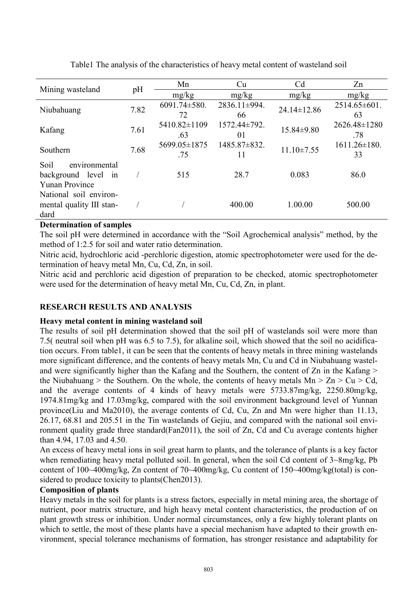| Mining wasteland         | pH   | Mn<br>Cu           |              | C <sub>d</sub>    | Zn                 |  |
|--------------------------|------|--------------------|--------------|-------------------|--------------------|--|
|                          |      | mg/kg              | mg/kg        | mg/kg             | mg/kg              |  |
| Niubahuang               | 7.82 | $6091.74 \pm 580.$ | 2836.11±994. | $24.14 \pm 12.86$ | $2514.65\pm601$ .  |  |
|                          |      | 72                 | 66           |                   | 63                 |  |
| Kafang                   | 7.61 | 5410.82±1109       | 1572.44±792. | $15.84\pm9.80$    | 2626.48±1280       |  |
|                          |      | .63                | 01           |                   | .78                |  |
| Southern                 | 7.68 | 5699.05±1875       | 1485.87±832. | $11.10 \pm 7.55$  | $1611.26 \pm 180.$ |  |
|                          |      | .75                | 11           |                   | 33                 |  |
| Soil<br>environmental    |      |                    |              |                   |                    |  |
| background level<br>in   |      | 515                | 28.7         | 0.083             | 86.0               |  |
| <b>Yunan Province</b>    |      |                    |              |                   |                    |  |
| National soil environ-   |      |                    |              |                   |                    |  |
| mental quality III stan- |      |                    | 400.00       | 1.00.00           | 500.00             |  |
| dard                     |      |                    |              |                   |                    |  |

Table1 The analysis of the characteristics of heavy metal content of wasteland soil

#### **Determination of samples**

The soil pH were determined in accordance with the "Soil Agrochemical analysis" method, by the method of 1:2.5 for soil and water ratio determination.

Nitric acid, hydrochloric acid -perchloric digestion, atomic spectrophotometer were used for the determination of heavy metal Mn, Cu, Cd, Zn, in soil.

Nitric acid and perchloric acid digestion of preparation to be checked, atomic spectrophotometer were used for the determination of heavy metal Mn, Cu, Cd, Zn, in plant.

### **RESEARCH RESULTS AND ANALYSIS**

#### **Heavy metal content in mining wasteland soil**

The results of soil pH determination showed that the soil pH of wastelands soil were more than 7.5( neutral soil when pH was 6.5 to 7.5), for alkaline soil, which showed that the soil no acidification occurs. From table1, it can be seen that the contents of heavy metals in three mining wastelands more significant difference, and the contents of heavy metals Mn, Cu and Cd in Niubahuang wasteland were significantly higher than the Kafang and the Southern, the content of Zn in the Kafang > the Niubahuang > the Southern. On the whole, the contents of heavy metals  $Mn > Zn > Cu > Cd$ , and the average contents of 4 kinds of heavy metals were 5733.87mg/kg, 2250.80mg/kg, 1974.81mg/kg and 17.03mg/kg, compared with the soil environment background level of Yunnan province(Liu and Ma2010), the average contents of Cd, Cu, Zn and Mn were higher than 11.13, 26.17, 68.81 and 205.51 in the Tin wastelands of Gejiu, and compared with the national soil environment quality grade three standard(Fan2011), the soil of Zn, Cd and Cu average contents higher than 4.94, 17.03 and 4.50.

An excess of heavy metal ions in soil great harm to plants, and the tolerance of plants is a key factor when remediating heavy metal polluted soil. In general, when the soil Cd content of  $3 \sim 8$ mg/kg, Pb content of 100~400mg/kg, Zn content of 70~400mg/kg, Cu content of 150~400mg/kg(total) is considered to produce toxicity to plants(Chen2013).

#### **Composition of plants**

Heavy metals in the soil for plants is a stress factors, especially in metal mining area, the shortage of nutrient, poor matrix structure, and high heavy metal content characteristics, the production of on plant growth stress or inhibition. Under normal circumstances, only a few highly tolerant plants on which to settle, the most of these plants have a special mechanism have adapted to their growth environment, special tolerance mechanisms of formation, has stronger resistance and adaptability for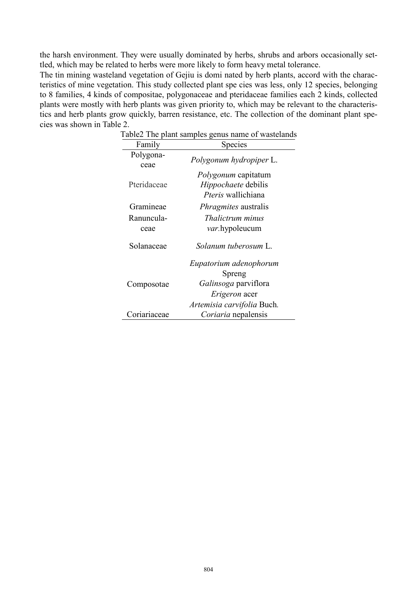the harsh environment. They were usually dominated by herbs, shrubs and arbors occasionally settled, which may be related to herbs were more likely to form heavy metal tolerance.

The tin mining wasteland vegetation of Gejiu is domi nated by herb plants, accord with the characteristics of mine vegetation. This study collected plant spe cies was less, only 12 species, belonging to 8 families, 4 kinds of compositae, polygonaceae and pteridaceae families each 2 kinds, collected plants were mostly with herb plants was given priority to, which may be relevant to the characteristics and herb plants grow quickly, barren resistance, etc. The collection of the dominant plant species was shown in Table 2.

| Family             | max<br>Species                                                                                          |  |  |  |  |
|--------------------|---------------------------------------------------------------------------------------------------------|--|--|--|--|
| Polygona-<br>ceae  | Polygonum hydropiper L.                                                                                 |  |  |  |  |
| Pteridaceae        | <i>Polygonum</i> capitatum<br><i>Hippochaete</i> debilis<br><i>Pteris</i> wallichiana                   |  |  |  |  |
| Gramineae          | <i>Phragmites</i> australis                                                                             |  |  |  |  |
| Ranuncula-<br>ceae | <i>Thalictrum minus</i><br><i>var</i> .hypoleucum                                                       |  |  |  |  |
| Solanaceae         | Solanum tuberosum L.                                                                                    |  |  |  |  |
| Composotae         | Eupatorium adenophorum<br>Spreng<br>Galinsoga parviflora<br>Erigeron acer<br>Artemisia carvifolia Buch. |  |  |  |  |
| Coriariaceae       | Coriaria nepalensis                                                                                     |  |  |  |  |

Table2 The plant samples genus name of wastelands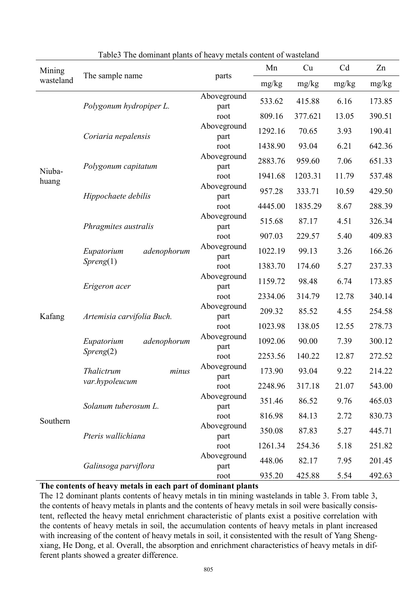| Mining          |                                        |                     | Mn      | Cu      | Cd    | Zn     |
|-----------------|----------------------------------------|---------------------|---------|---------|-------|--------|
| wasteland       | The sample name                        | parts               | mg/kg   | mg/kg   | mg/kg | mg/kg  |
|                 | Polygonum hydropiper L.                | Aboveground<br>part | 533.62  | 415.88  | 6.16  | 173.85 |
| Niuba-<br>huang |                                        | root                | 809.16  | 377.621 | 13.05 | 390.51 |
|                 | Coriaria nepalensis                    | Aboveground<br>part | 1292.16 | 70.65   | 3.93  | 190.41 |
|                 |                                        | root                | 1438.90 | 93.04   | 6.21  | 642.36 |
|                 | Polygonum capitatum                    | Aboveground<br>part | 2883.76 | 959.60  | 7.06  | 651.33 |
|                 |                                        | root                | 1941.68 | 1203.31 | 11.79 | 537.48 |
|                 | Hippochaete debilis                    | Aboveground<br>part | 957.28  | 333.71  | 10.59 | 429.50 |
|                 |                                        | root                | 4445.00 | 1835.29 | 8.67  | 288.39 |
|                 | Phragmites australis                   | Aboveground<br>part | 515.68  | 87.17   | 4.51  | 326.34 |
|                 |                                        | root                | 907.03  | 229.57  | 5.40  | 409.83 |
|                 | adenophorum<br>Eupatorium              | Aboveground<br>part | 1022.19 | 99.13   | 3.26  | 166.26 |
|                 | Spreng(1)                              | root                | 1383.70 | 174.60  | 5.27  | 237.33 |
| Kafang          | Erigeron acer                          | Aboveground<br>part | 1159.72 | 98.48   | 6.74  | 173.85 |
|                 |                                        | root                | 2334.06 | 314.79  | 12.78 | 340.14 |
|                 | Artemisia carvifolia Buch.             | Aboveground<br>part | 209.32  | 85.52   | 4.55  | 254.58 |
|                 |                                        | root                | 1023.98 | 138.05  | 12.55 | 278.73 |
|                 | adenophorum<br>Eupatorium<br>Spreng(2) | Aboveground<br>part | 1092.06 | 90.00   | 7.39  | 300.12 |
|                 |                                        | root                | 2253.56 | 140.22  | 12.87 | 272.52 |
|                 | Thalictrum<br>minus<br>var.hypoleucum  | Aboveground<br>part | 173.90  | 93.04   | 9.22  | 214.22 |
| Southern        |                                        | root                | 2248.96 | 317.18  | 21.07 | 543.00 |
|                 | Solanum tuberosum L.                   | Aboveground<br>part | 351.46  | 86.52   | 9.76  | 465.03 |
|                 |                                        | root                | 816.98  | 84.13   | 2.72  | 830.73 |
|                 | Pteris wallichiana                     | Aboveground<br>part | 350.08  | 87.83   | 5.27  | 445.71 |
|                 |                                        | root                | 1261.34 | 254.36  | 5.18  | 251.82 |
|                 | Galinsoga parviflora                   | Aboveground<br>part | 448.06  | 82.17   | 7.95  | 201.45 |
|                 |                                        | root                | 935.20  | 425.88  | 5.54  | 492.63 |

Table3 The dominant plants of heavy metals content of wasteland

#### **The contents of heavy metals in each part of dominant plants**

The 12 dominant plants contents of heavy metals in tin mining wastelands in table 3. From table 3, the contents of heavy metals in plants and the contents of heavy metals in soil were basically consistent, reflected the heavy metal enrichment characteristic of plants exist a positive correlation with the contents of heavy metals in soil, the accumulation contents of heavy metals in plant increased with increasing of the content of heavy metals in soil, it consistented with the result of Yang Shengxiang, He Dong, et al. Overall, the absorption and enrichment characteristics of heavy metals in different plants showed a greater difference.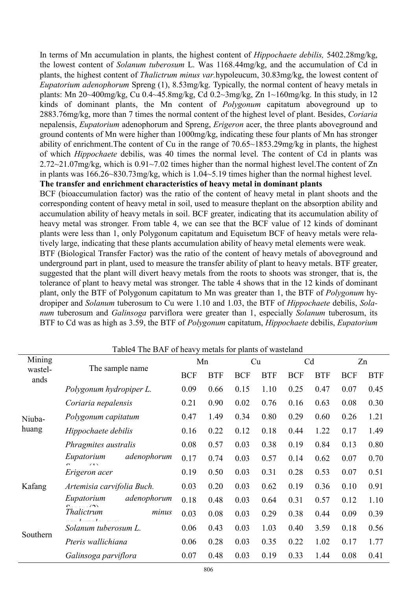In terms of Mn accumulation in plants, the highest content of *Hippochaete debilis,* 5402.28mg/kg, the lowest content of *Solanum tuberosum* L. Was 1168.44mg/kg, and the accumulation of Cd in plants, the highest content of *Thalictrum minus var.*hypoleucum, 30.83mg/kg, the lowest content of *Eupatorium adenophorum* Spreng (1), 8.53mg/kg. Typically, the normal content of heavy metals in plants: Mn 20~400mg/kg, Cu 0.4~45.8mg/kg, Cd 0.2~3mg/kg, Zn 1~160mg/kg. In this study, in 12 kinds of dominant plants, the Mn content of *Polygonum* capitatum aboveground up to 2883.76mg/kg, more than 7 times the normal content of the highest level of plant. Besides, *Coriaria*  nepalensis, *Eupatorium* adenophorum and Spreng, *Erigeron* acer, the three plants aboveground and ground contents of Mn were higher than 1000mg/kg, indicating these four plants of Mn has stronger ability of enrichment.The content of Cu in the range of 70.65~1853.29mg/kg in plants, the highest of which *Hippochaete* debilis, was 40 times the normal level. The content of Cd in plants was 2.72~21.07mg/kg, which is 0.91~7.02 times higher than the normal highest level.The content of Zn in plants was 166.26~830.73mg/kg, which is 1.04~5.19 times higher than the normal highest level.

# **The transfer and enrichment characteristics of heavy metal in dominant plants**

BCF (bioaccumulation factor) was the ratio of the content of heavy metal in plant shoots and the corresponding content of heavy metal in soil, used to measure theplant on the absorption ability and accumulation ability of heavy metals in soil. BCF greater, indicating that its accumulation ability of heavy metal was stronger. From table 4, we can see that the BCF value of 12 kinds of dominant plants were less than 1, only Polygonum capitatum and Equisetum BCF of heavy metals were relatively large, indicating that these plants accumulation ability of heavy metal elements were weak.

BTF (Biological Transfer Factor) was the ratio of the content of heavy metals of aboveground and underground part in plant, used to measure the transfer ability of plant to heavy metals. BTF greater, suggested that the plant will divert heavy metals from the roots to shoots was stronger, that is, the tolerance of plant to heavy metal was stronger. The table 4 shows that in the 12 kinds of dominant plant, only the BTF of Polygonum capitatum to Mn was greater than 1, the BTF of *Polygonum* hydropiper and *Solanum* tuberosum to Cu were 1.10 and 1.03, the BTF of *Hippochaete* debilis, *Solanum* tuberosum and *Galinsoga* parviflora were greater than 1, especially *Solanum* tuberosum, its BTF to Cd was as high as 3.59, the BTF of *Polygonum* capitatum, *Hippochaete* debilis, *Eupatorium* 

|                 | Table4 The BAF of heavy metals for plants of wasteland |            |            |            |            |                |            |            |            |
|-----------------|--------------------------------------------------------|------------|------------|------------|------------|----------------|------------|------------|------------|
| Mining          |                                                        | Mn         |            | Cu         |            | C <sub>d</sub> |            | Zn         |            |
| wastel-<br>ands | The sample name                                        | <b>BCF</b> | <b>BTF</b> | <b>BCF</b> | <b>BTF</b> | <b>BCF</b>     | <b>BTF</b> | <b>BCF</b> | <b>BTF</b> |
| Niuba-<br>huang | Polygonum hydropiper L.                                | 0.09       | 0.66       | 0.15       | 1.10       | 0.25           | 0.47       | 0.07       | 0.45       |
|                 | Coriaria nepalensis                                    | 0.21       | 0.90       | 0.02       | 0.76       | 0.16           | 0.63       | 0.08       | 0.30       |
|                 | Polygonum capitatum                                    | 0.47       | 1.49       | 0.34       | 0.80       | 0.29           | 0.60       | 0.26       | 1.21       |
|                 | Hippochaete debilis                                    | 0.16       | 0.22       | 0.12       | 0.18       | 0.44           | 1.22       | 0.17       | 1.49       |
|                 | Phragmites australis                                   | 0.08       | 0.57       | 0.03       | 0.38       | 0.19           | 0.84       | 0.13       | 0.80       |
|                 | adenophorum<br>Eupatorium<br>$\Omega_{\text{max}}$ (1) | 0.17       | 0.74       | 0.03       | 0.57       | 0.14           | 0.62       | 0.07       | 0.70       |
|                 | Erigeron acer                                          | 0.19       | 0.50       | 0.03       | 0.31       | 0.28           | 0.53       | 0.07       | 0.51       |
| Kafang          | Artemisia carvifolia Buch.                             | 0.03       | 0.20       | 0.03       | 0.62       | 0.19           | 0.36       | 0.10       | 0.91       |
|                 | adenophorum<br>Eupatorium<br>$\sim$                    | 0.18       | 0.48       | 0.03       | 0.64       | 0.31           | 0.57       | 0.12       | 1.10       |
| Southern        | Thalictrum<br>minus                                    | 0.03       | 0.08       | 0.03       | 0.29       | 0.38           | 0.44       | 0.09       | 0.39       |
|                 | Solanum tuberosum L.                                   | 0.06       | 0.43       | 0.03       | 1.03       | 0.40           | 3.59       | 0.18       | 0.56       |
|                 | Pteris wallichiana                                     | 0.06       | 0.28       | 0.03       | 0.35       | 0.22           | 1.02       | 0.17       | 1.77       |
|                 | Galinsoga parviflora                                   | 0.07       | 0.48       | 0.03       | 0.19       | 0.33           | 1.44       | 0.08       | 0.41       |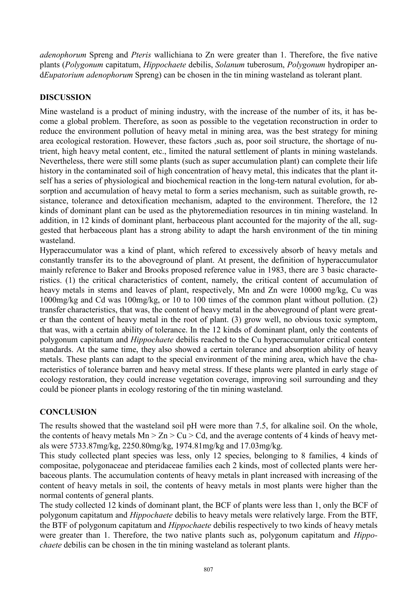*adenophorum* Spreng and *Pteris* wallichiana to Zn were greater than 1. Therefore, the five native plants (*Polygonum* capitatum, *Hippochaete* debilis, *Solanum* tuberosum, *Polygonum* hydropiper and*Eupatorium adenophorum* Spreng) can be chosen in the tin mining wasteland as tolerant plant.

# **DISCUSSION**

Mine wasteland is a product of mining industry, with the increase of the number of its, it has become a global problem. Therefore, as soon as possible to the vegetation reconstruction in order to reduce the environment pollution of heavy metal in mining area, was the best strategy for mining area ecological restoration. However, these factors ,such as, poor soil structure, the shortage of nutrient, high heavy metal content, etc., limited the natural settlement of plants in mining wastelands. Nevertheless, there were still some plants (such as super accumulation plant) can complete their life history in the contaminated soil of high concentration of heavy metal, this indicates that the plant itself has a series of physiological and biochemical reaction in the long-tern natural evolution, for absorption and accumulation of heavy metal to form a series mechanism, such as suitable growth, resistance, tolerance and detoxification mechanism, adapted to the environment. Therefore, the 12 kinds of dominant plant can be used as the phytoremediation resources in tin mining wasteland. In addition, in 12 kinds of dominant plant, herbaceous plant accounted for the majority of the all, suggested that herbaceous plant has a strong ability to adapt the harsh environment of the tin mining wasteland.

Hyperaccumulator was a kind of plant, which refered to excessively absorb of heavy metals and constantly transfer its to the aboveground of plant. At present, the definition of hyperaccumulator mainly reference to Baker and Brooks proposed reference value in 1983, there are 3 basic characteristics. (1) the critical characteristics of content, namely, the critical content of accumulation of heavy metals in stems and leaves of plant, respectively, Mn and Zn were 10000 mg/kg, Cu was 1000mg/kg and Cd was 100mg/kg, or 10 to 100 times of the common plant without pollution. (2) transfer characteristics, that was, the content of heavy metal in the aboveground of plant were greater than the content of heavy metal in the root of plant. (3) grow well, no obvious toxic symptom, that was, with a certain ability of tolerance. In the 12 kinds of dominant plant, only the contents of polygonum capitatum and *Hippochaete* debilis reached to the Cu hyperaccumulator critical content standards. At the same time, they also showed a certain tolerance and absorption ability of heavy metals. These plants can adapt to the special environment of the mining area, which have the characteristics of tolerance barren and heavy metal stress. If these plants were planted in early stage of ecology restoration, they could increase vegetation coverage, improving soil surrounding and they could be pioneer plants in ecology restoring of the tin mining wasteland.

# **CONCLUSION**

The results showed that the wasteland soil pH were more than 7.5, for alkaline soil. On the whole, the contents of heavy metals  $Mn > Zn > Cu > Cd$ , and the average contents of 4 kinds of heavy metals were 5733.87mg/kg, 2250.80mg/kg, 1974.81mg/kg and 17.03mg/kg.

This study collected plant species was less, only 12 species, belonging to 8 families, 4 kinds of compositae, polygonaceae and pteridaceae families each 2 kinds, most of collected plants were herbaceous plants. The accumulation contents of heavy metals in plant increased with increasing of the content of heavy metals in soil, the contents of heavy metals in most plants were higher than the normal contents of general plants.

The study collected 12 kinds of dominant plant, the BCF of plants were less than 1, only the BCF of polygonum capitatum and *Hippochaete* debilis to heavy metals were relatively large. From the BTF, the BTF of polygonum capitatum and *Hippochaete* debilis respectively to two kinds of heavy metals were greater than 1. Therefore, the two native plants such as, polygonum capitatum and *Hippochaete* debilis can be chosen in the tin mining wasteland as tolerant plants.